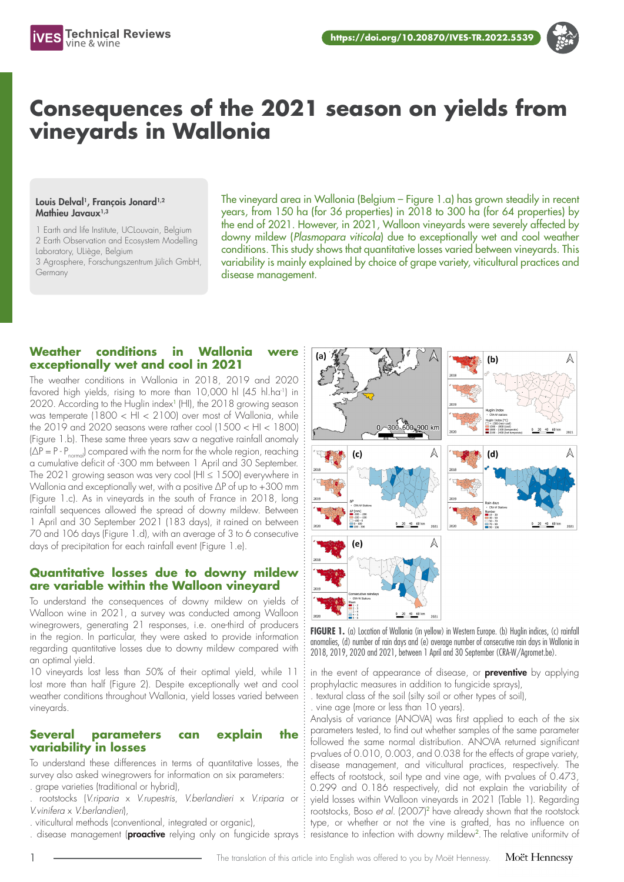

# **Consequences of the 2021 season on yields from vineyards in Wallonia**

#### Louis Delval<sup>1</sup>, François Jonard<sup>1,2</sup> Mathieu Javaux<sup>1,3</sup>

1 Earth and life Institute, UCLouvain, Belgium 2 Earth Observation and Ecosystem Modelling Laboratory, ULiège, Belgium 3 Agrosphere, Forschungszentrum Jülich GmbH, Germany

The vineyard area in Wallonia (Belgium – Figure 1.a) has grown steadily in recent years, from 150 ha (for 36 properties) in 2018 to 300 ha (for 64 properties) by the end of 2021. However, in 2021, Walloon vineyards were severely affected by downy mildew (*Plasmopara viticola*) due to exceptionally wet and cool weather conditions. This study shows that quantitative losses varied between vineyards. This variability is mainly explained by choice of grape variety, viticultural practices and disease management.

## **Weather conditions in Wallonia were exceptionally wet and cool in 2021**

The weather conditions in Wallonia in 2018, 2019 and 2020 favored high yields, rising to more than 10,000 hl (45 hl.ha<sup>-1</sup>) in 2020. According to the Huglin index<sup>1</sup> (HI), the 2018 growing season was temperate (1800 < HI < 2100) over most of Wallonia, while the 2019 and 2020 seasons were rather cool (1500 < HI < 1800) (Figure 1.b). These same three years saw a negative rainfall anomaly  $(\Delta P = P - P_{\text{normal}})$  compared with the norm for the whole region, reaching a cumulative deficit of -300 mm between 1 April and 30 September. The 2021 growing season was very cool (HI ≤ 1500) everywhere in Wallonia and exceptionally wet, with a positive ΔP of up to +300 mm (Figure 1.c). As in vineyards in the south of France in 2018, long rainfall sequences allowed the spread of downy mildew. Between 1 April and 30 September 2021 (183 days), it rained on between 70 and 106 days (Figure 1.d), with an average of 3 to 6 consecutive days of precipitation for each rainfall event (Figure 1.e).

### **Quantitative losses due to downy mildew are variable within the Walloon vineyard**

To understand the consequences of downy mildew on yields of Walloon wine in 2021, a survey was conducted among Walloon winegrowers, generating 21 responses, i.e. one-third of producers in the region. In particular, they were asked to provide information regarding quantitative losses due to downy mildew compared with an optimal yield.

10 vineyards lost less than 50% of their optimal yield, while 11 lost more than half (Figure 2). Despite exceptionally wet and cool weather conditions throughout Wallonia, yield losses varied between vineyards.

### **Several parameters can explain the variability in losses**

To understand these differences in terms of quantitative losses, the survey also asked winegrowers for information on six parameters: . grape varieties (traditional or hybrid),

. rootstocks (*V.riparia* x *V.rupestris*, *V.berlandieri* x *V.riparia* or *V.vinifera* x *V.berlandieri*),

- . viticultural methods (conventional, integrated or organic),
- 



**FIGURE 1.** (a) Location of Wallonia (in yellow) in Western Europe. (b) Huglin indices, (c) rainfall anomalies, (d) number of rain days and (e) average number of consecutive rain days in Wallonia in 2018, 2019, 2020 and 2021, between 1 April and 30 September (CRA-W/Agromet.be).

in the event of appearance of disease, or **preventive** by applying prophylactic measures in addition to fungicide sprays),

. textural class of the soil (silty soil or other types of soil),

. vine age (more or less than 10 years).

Analysis of variance (ANOVA) was first applied to each of the six parameters tested, to find out whether samples of the same parameter followed the same normal distribution. ANOVA returned significant p-values of 0.010, 0.003, and 0.038 for the effects of grape variety, disease management, and viticultural practices, respectively. The effects of rootstock, soil type and vine age, with p-values of 0.473, 0.299 and 0.186 respectively, did not explain the variability of yield losses within Walloon vineyards in 2021 (Table 1). Regarding rootstocks, Boso *et al.* (2007)<sup>2</sup> have already shown that the rootstock type, or whether or not the vine is grafted, has no influence on . disease management (**proactive** relying only on fungicide sprays : resistance to infection with downy mildew<sup>2</sup>. The relative uniformity of